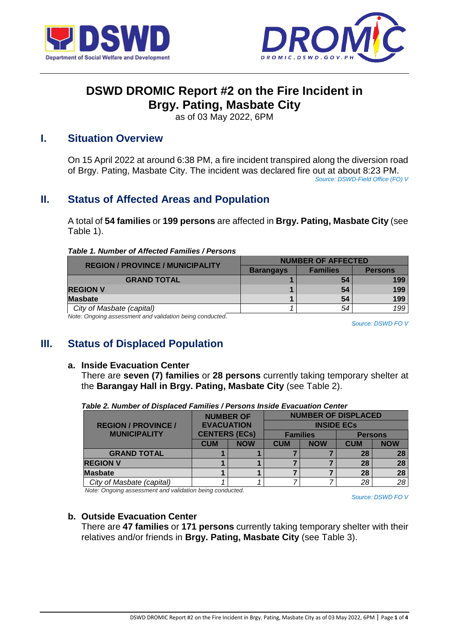



# **DSWD DROMIC Report #2 on the Fire Incident in Brgy. Pating, Masbate City**

as of 03 May 2022, 6PM

## **I. Situation Overview**

On 15 April 2022 at around 6:38 PM, a fire incident transpired along the diversion road of Brgy. Pating, Masbate City. The incident was declared fire out at about 8:23 PM. *Source: DSWD-Field Office (FO) V*

## **II. Status of Affected Areas and Population**

A total of **54 families** or **199 persons** are affected in **Brgy. Pating, Masbate City** (see Table 1).

| <b>REGION / PROVINCE / MUNICIPALITY</b>                  | <b>NUMBER OF AFFECTED</b> |                 |                |  |
|----------------------------------------------------------|---------------------------|-----------------|----------------|--|
|                                                          | <b>Barangays</b>          | <b>Families</b> | <b>Persons</b> |  |
| <b>GRAND TOTAL</b>                                       |                           | 54              | 199            |  |
| <b>REGION V</b>                                          |                           | 54              | 199            |  |
| <b>Masbate</b>                                           |                           | 54              | 199            |  |
| City of Masbate (capital)                                |                           | 54              | 199            |  |
| Note: Ongoing assessment and validation being conducted. |                           |                 |                |  |

*Source: DSWD FO V*

## **III. Status of Displaced Population**

#### **a. Inside Evacuation Center**

There are **seven (7) families** or **28 persons** currently taking temporary shelter at the **Barangay Hall in Brgy. Pating, Masbate City** (see Table 2).

|                            | <b>NUMBER OF</b><br><b>EVACUATION</b> |            | <b>NUMBER OF DISPLACED</b><br><b>INSIDE ECs</b> |                 |            |                |  |
|----------------------------|---------------------------------------|------------|-------------------------------------------------|-----------------|------------|----------------|--|
| <b>REGION / PROVINCE /</b> |                                       |            |                                                 |                 |            |                |  |
| <b>MUNICIPALITY</b>        | <b>CENTERS (ECs)</b>                  |            |                                                 | <b>Families</b> |            | <b>Persons</b> |  |
|                            | <b>CUM</b>                            | <b>NOW</b> | <b>CUM</b>                                      | <b>NOW</b>      | <b>CUM</b> | <b>NOW</b>     |  |
| <b>GRAND TOTAL</b>         |                                       |            |                                                 |                 | 28         | 28             |  |
| <b>REGION V</b>            |                                       |            |                                                 |                 | 28         | 28             |  |
| <b>Masbate</b>             |                                       |            |                                                 |                 | 28         | 28             |  |
| City of Masbate (capital)  |                                       |            |                                                 |                 | 28         | 28             |  |

*Table 2. Number of Displaced Families / Persons Inside Evacuation Center*

*Note: Ongoing assessment and validation being conducted.*

*Source: DSWD FO V*

## **b. Outside Evacuation Center**

There are **47 families** or **171 persons** currently taking temporary shelter with their relatives and/or friends in **Brgy. Pating, Masbate City** (see Table 3).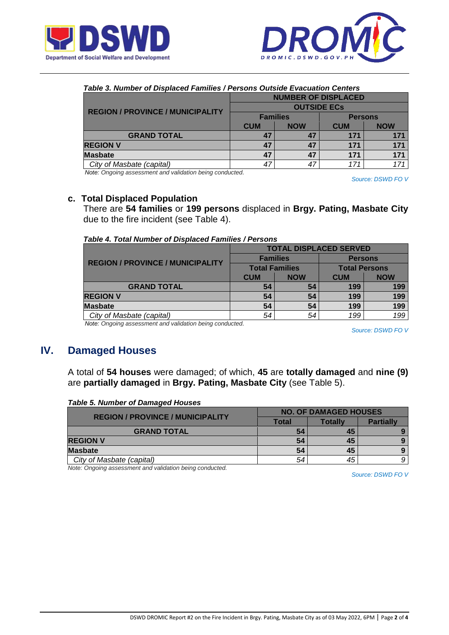



| Table 3. Number of Displaced Families / Persons Outside Evacuation Centers |                            |            |                |            |
|----------------------------------------------------------------------------|----------------------------|------------|----------------|------------|
| <b>REGION / PROVINCE / MUNICIPALITY</b>                                    | <b>NUMBER OF DISPLACED</b> |            |                |            |
|                                                                            | <b>OUTSIDE ECS</b>         |            |                |            |
|                                                                            | <b>Families</b>            |            | <b>Persons</b> |            |
|                                                                            | <b>CUM</b>                 | <b>NOW</b> | <b>CUM</b>     | <b>NOW</b> |
| <b>GRAND TOTAL</b>                                                         | 47                         | 47         | 171            | 171        |
| <b>REGION V</b>                                                            |                            |            | 171            | 171        |

*City of Masbate (capital)* **171 171 171 171 171** *Note: Ongoing assessment and validation being conducted.*

*Source: DSWD FO V*

### **c. Total Displaced Population**

There are **54 families** or **199 persons** displaced in **Brgy. Pating, Masbate City** due to the fire incident (see Table 4).

**Masbate 47 47 171 171** 

| Table 4. Total Number of Displaced Families / Persons |  |
|-------------------------------------------------------|--|
|-------------------------------------------------------|--|

|                                         | <b>TOTAL DISPLACED SERVED</b> |            |                      |            |  |
|-----------------------------------------|-------------------------------|------------|----------------------|------------|--|
| <b>REGION / PROVINCE / MUNICIPALITY</b> | <b>Families</b>               |            | <b>Persons</b>       |            |  |
|                                         | <b>Total Families</b>         |            | <b>Total Persons</b> |            |  |
|                                         | <b>CUM</b>                    | <b>NOW</b> | <b>CUM</b>           | <b>NOW</b> |  |
| <b>GRAND TOTAL</b>                      | 54                            | 54         | 199                  | 199        |  |
| <b>REGION V</b>                         | 54                            | 54         | 199                  | 199        |  |
| <b>Masbate</b>                          | 54                            | 54         | 199                  | 199        |  |
| City of Masbate (capital)               | 54                            | 54         | 199                  | 199        |  |

*Note: Ongoing assessment and validation being conducted.*

*Source: DSWD FO V*

## **IV. Damaged Houses**

A total of **54 houses** were damaged; of which, **45** are **totally damaged** and **nine (9)** are **partially damaged** in **Brgy. Pating, Masbate City** (see Table 5).

|  |  |  | <b>Table 5. Number of Damaged Houses</b> |
|--|--|--|------------------------------------------|
|--|--|--|------------------------------------------|

| <b>REGION / PROVINCE / MUNICIPALITY</b> | <b>NO. OF DAMAGED HOUSES</b> |         |                  |  |
|-----------------------------------------|------------------------------|---------|------------------|--|
|                                         | Total                        | Totallv | <b>Partially</b> |  |
| <b>GRAND TOTAL</b>                      | 54                           | 45      |                  |  |
| <b>REGION V</b>                         | 54                           | 45      |                  |  |
| <b>Masbate</b>                          | 54                           | 45      |                  |  |
| City of Masbate (capital)               | 54                           | 45      | 9                |  |

*Note: Ongoing assessment and validation being conducted.*

*Source: DSWD FO V*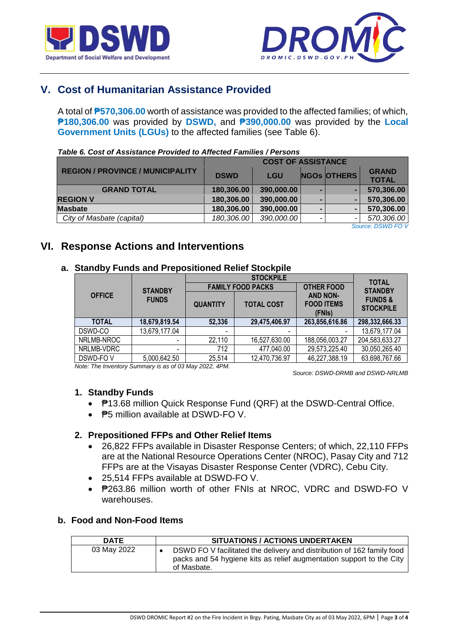



# **V. Cost of Humanitarian Assistance Provided**

A total of **₱570,306.00** worth of assistance was provided to the affected families; of which, **₱180,306.00** was provided by **DSWD,** and **₱390,000.00** was provided by the **Local Government Units (LGUs)** to the affected families (see Table 6).

|                                         | <b>COST OF ASSISTANCE</b> |            |   |                    |                   |
|-----------------------------------------|---------------------------|------------|---|--------------------|-------------------|
| <b>REGION / PROVINCE / MUNICIPALITY</b> | <b>DSWD</b>               | <b>LGU</b> |   | <b>NGOS OTHERS</b> | <b>GRAND</b>      |
|                                         |                           |            |   |                    | <b>TOTAL</b>      |
| <b>GRAND TOTAL</b>                      | 180,306.00                | 390,000.00 | - |                    | 570,306.00        |
| <b>REGION V</b>                         | 180,306.00                | 390,000.00 |   |                    | 570,306.00        |
| <b>Masbate</b>                          | 180,306.00                | 390,000.00 |   |                    | 570,306.00        |
| City of Masbate (capital)               | 180,306.00                | 390,000.00 | - |                    | 570,306.00        |
|                                         |                           |            |   | $\sim$             | $P(X X) = P(X X)$ |

#### *Table 6. Cost of Assistance Provided to Affected Families / Persons*

*Source: DSWD FO V*

## **VI. Response Actions and Interventions**

### **a. Standby Funds and Prepositioned Relief Stockpile**

|               |                          |                          | <b>STOCKPILE</b>         | <b>TOTAL</b>                                   |                                        |  |
|---------------|--------------------------|--------------------------|--------------------------|------------------------------------------------|----------------------------------------|--|
|               | <b>STANDBY</b>           |                          | <b>FAMILY FOOD PACKS</b> | <b>OTHER FOOD</b>                              | <b>STANDBY</b>                         |  |
| <b>OFFICE</b> | <b>FUNDS</b>             | <b>QUANTITY</b>          | <b>TOTAL COST</b>        | <b>AND NON-</b><br><b>FOOD ITEMS</b><br>(FNIs) | <b>FUNDS &amp;</b><br><b>STOCKPILE</b> |  |
| <b>TOTAL</b>  | 18,679,819.54            | 52,336                   | 29,475,406.97            | 263,856,616.86                                 | 298,332,666.33                         |  |
| DSWD-CO       | 13,679,177.04            | $\overline{\phantom{a}}$ |                          |                                                | 13,679,177.04                          |  |
| NRLMB-NROC    |                          | 22,110                   | 16,527,630.00            | 188,056,003.27                                 | 204,583,633.27                         |  |
| NRLMB-VDRC    | $\overline{\phantom{a}}$ | 712                      | 477,040.00               | 29,573,225.40                                  | 30,050,265.40                          |  |
| DSWD-FOV      | 5,000,642.50             | 25,514                   | 12,470,736.97            | 46,227,388.19                                  | 63,698,767.66                          |  |

*Note: The Inventory Summary is as of 03 May 2022, 4PM.*

 *Source: DSWD-DRMB and DSWD-NRLMB*

### **1. Standby Funds**

- P13.68 million Quick Response Fund (QRF) at the DSWD-Central Office.
- **P5 million available at DSWD-FO V.**

### **2. Prepositioned FFPs and Other Relief Items**

- 26,822 FFPs available in Disaster Response Centers; of which, 22,110 FFPs are at the National Resource Operations Center (NROC), Pasay City and 712 FFPs are at the Visayas Disaster Response Center (VDRC), Cebu City.
- 25,514 FFPs available at DSWD-FO V.
- ₱263.86 million worth of other FNIs at NROC, VDRC and DSWD-FO V warehouses.

### **b. Food and Non-Food Items**

| <b>DATE</b> | <b>SITUATIONS / ACTIONS UNDERTAKEN</b>                                                                                                                        |
|-------------|---------------------------------------------------------------------------------------------------------------------------------------------------------------|
| 03 May 2022 | DSWD FO V facilitated the delivery and distribution of 162 family food<br>packs and 54 hygiene kits as relief augmentation support to the City<br>of Masbate. |